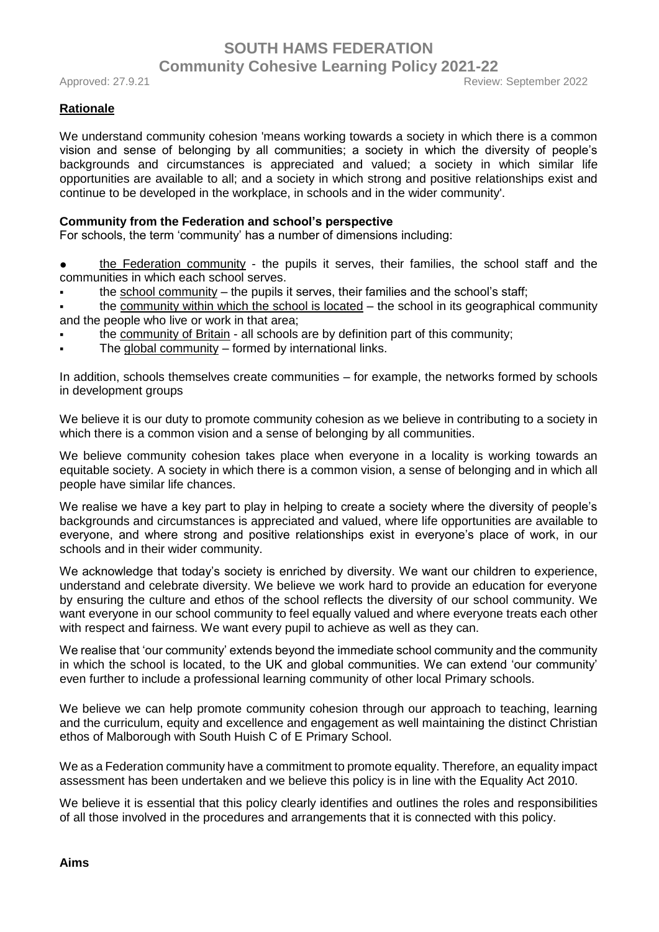#### **Rationale**

We understand community cohesion 'means working towards a society in which there is a common vision and sense of belonging by all communities; a society in which the diversity of people's backgrounds and circumstances is appreciated and valued; a society in which similar life opportunities are available to all; and a society in which strong and positive relationships exist and continue to be developed in the workplace, in schools and in the wider community'.

#### **Community from the Federation and school's perspective**

For schools, the term 'community' has a number of dimensions including:

- the Federation community the pupils it serves, their families, the school staff and the communities in which each school serves.
- the school community the pupils it serves, their families and the school's staff;
- the community within which the school is located  $-$  the school in its geographical community and the people who live or work in that area;
- the community of Britain all schools are by definition part of this community;
- The global community  $-$  formed by international links.

In addition, schools themselves create communities – for example, the networks formed by schools in development groups

We believe it is our duty to promote community cohesion as we believe in contributing to a society in which there is a common vision and a sense of belonging by all communities.

We believe community cohesion takes place when everyone in a locality is working towards an equitable society. A society in which there is a common vision, a sense of belonging and in which all people have similar life chances.

We realise we have a key part to play in helping to create a society where the diversity of people's backgrounds and circumstances is appreciated and valued, where life opportunities are available to everyone, and where strong and positive relationships exist in everyone's place of work, in our schools and in their wider community.

We acknowledge that today's society is enriched by diversity. We want our children to experience, understand and celebrate diversity. We believe we work hard to provide an education for everyone by ensuring the culture and ethos of the school reflects the diversity of our school community. We want everyone in our school community to feel equally valued and where everyone treats each other with respect and fairness. We want every pupil to achieve as well as they can.

We realise that 'our community' extends beyond the immediate school community and the community in which the school is located, to the UK and global communities. We can extend 'our community' even further to include a professional learning community of other local Primary schools.

We believe we can help promote community cohesion through our approach to teaching, learning and the curriculum, equity and excellence and engagement as well maintaining the distinct Christian ethos of Malborough with South Huish C of E Primary School.

We as a Federation community have a commitment to promote equality. Therefore, an equality impact assessment has been undertaken and we believe this policy is in line with the Equality Act 2010.

We believe it is essential that this policy clearly identifies and outlines the roles and responsibilities of all those involved in the procedures and arrangements that it is connected with this policy.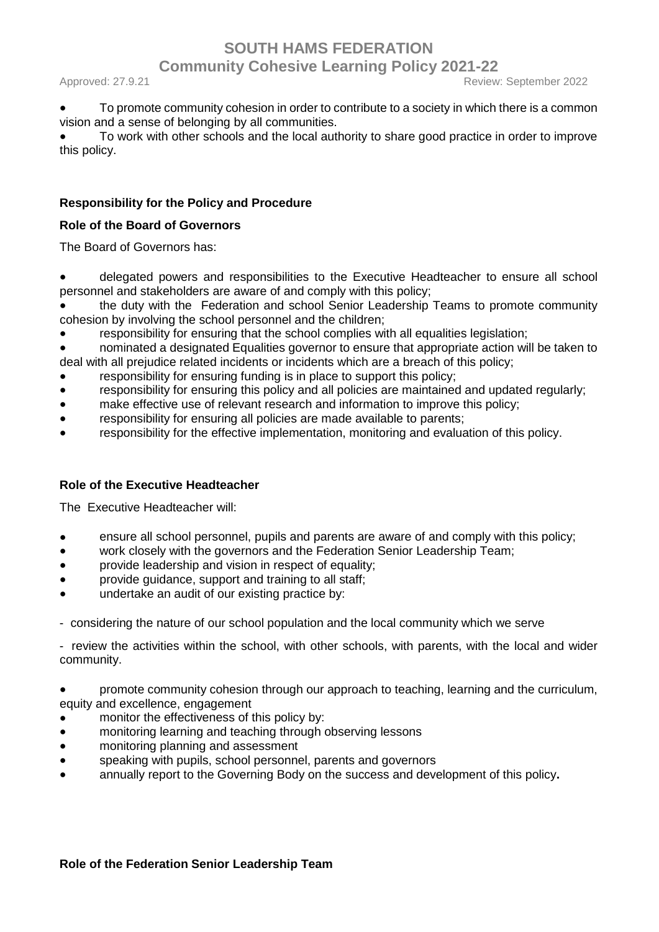Approved: 27.9.21 Review: September 2022

To promote community cohesion in order to contribute to a society in which there is a common vision and a sense of belonging by all communities.

To work with other schools and the local authority to share good practice in order to improve this policy.

### **Responsibility for the Policy and Procedure**

#### **Role of the Board of Governors**

The Board of Governors has:

- delegated powers and responsibilities to the Executive Headteacher to ensure all school personnel and stakeholders are aware of and comply with this policy;
- the duty with the Federation and school Senior Leadership Teams to promote community cohesion by involving the school personnel and the children;
- responsibility for ensuring that the school complies with all equalities legislation;
- nominated a designated Equalities governor to ensure that appropriate action will be taken to deal with all prejudice related incidents or incidents which are a breach of this policy;
- responsibility for ensuring funding is in place to support this policy;
- responsibility for ensuring this policy and all policies are maintained and updated regularly;
- make effective use of relevant research and information to improve this policy;
- responsibility for ensuring all policies are made available to parents;
- responsibility for the effective implementation, monitoring and evaluation of this policy.

#### **Role of the Executive Headteacher**

The Executive Headteacher will:

- ensure all school personnel, pupils and parents are aware of and comply with this policy;
- work closely with the governors and the Federation Senior Leadership Team;
- provide leadership and vision in respect of equality;
- provide guidance, support and training to all staff;
- undertake an audit of our existing practice by:

- considering the nature of our school population and the local community which we serve

- review the activities within the school, with other schools, with parents, with the local and wider community.

promote community cohesion through our approach to teaching, learning and the curriculum, equity and excellence, engagement

- monitor the effectiveness of this policy by:
- monitoring learning and teaching through observing lessons
- monitoring planning and assessment
- speaking with pupils, school personnel, parents and governors
- annually report to the Governing Body on the success and development of this policy**.**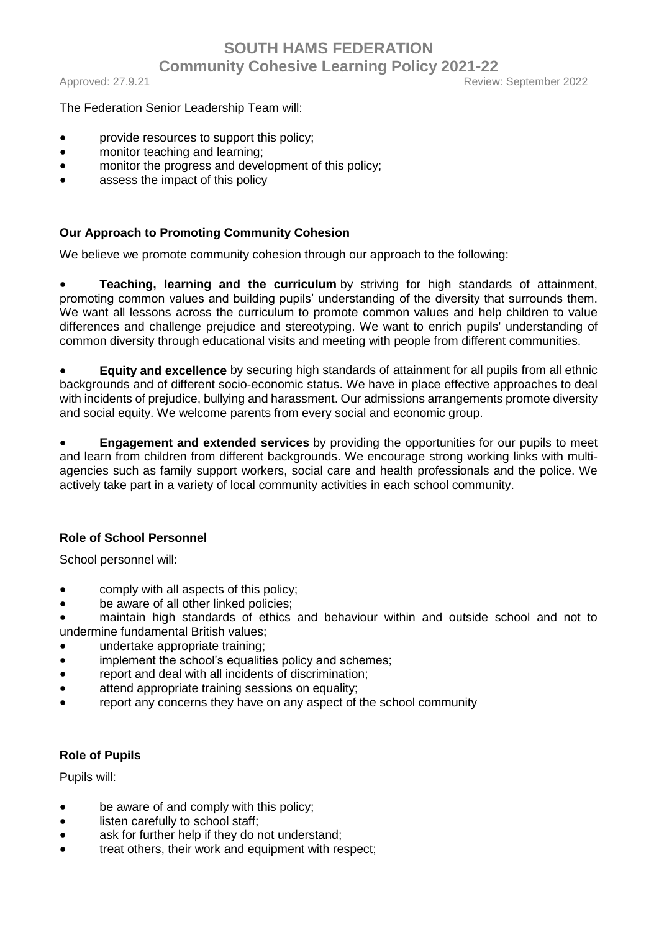#### Approved: 27.9.21 Review: September 2022

#### The Federation Senior Leadership Team will:

- provide resources to support this policy;
- monitor teaching and learning;
- monitor the progress and development of this policy;
- assess the impact of this policy

#### **Our Approach to Promoting Community Cohesion**

We believe we promote community cohesion through our approach to the following:

● **Teaching, learning and the curriculum** by striving for high standards of attainment, promoting common values and building pupils' understanding of the diversity that surrounds them. We want all lessons across the curriculum to promote common values and help children to value differences and challenge prejudice and stereotyping. We want to enrich pupils' understanding of common diversity through educational visits and meeting with people from different communities.

**Equity and excellence** by securing high standards of attainment for all pupils from all ethnic backgrounds and of different socio-economic status. We have in place effective approaches to deal with incidents of prejudice, bullying and harassment. Our admissions arrangements promote diversity and social equity. We welcome parents from every social and economic group.

**Engagement and extended services** by providing the opportunities for our pupils to meet and learn from children from different backgrounds. We encourage strong working links with multiagencies such as family support workers, social care and health professionals and the police. We actively take part in a variety of local community activities in each school community.

#### **Role of School Personnel**

School personnel will:

- comply with all aspects of this policy;
- be aware of all other linked policies;

maintain high standards of ethics and behaviour within and outside school and not to undermine fundamental British values;

- undertake appropriate training;
- implement the school's equalities policy and schemes;
- report and deal with all incidents of discrimination;
- attend appropriate training sessions on equality;
- report any concerns they have on any aspect of the school community

#### **Role of Pupils**

Pupils will:

- be aware of and comply with this policy;
- listen carefully to school staff;
- ask for further help if they do not understand;
- treat others, their work and equipment with respect;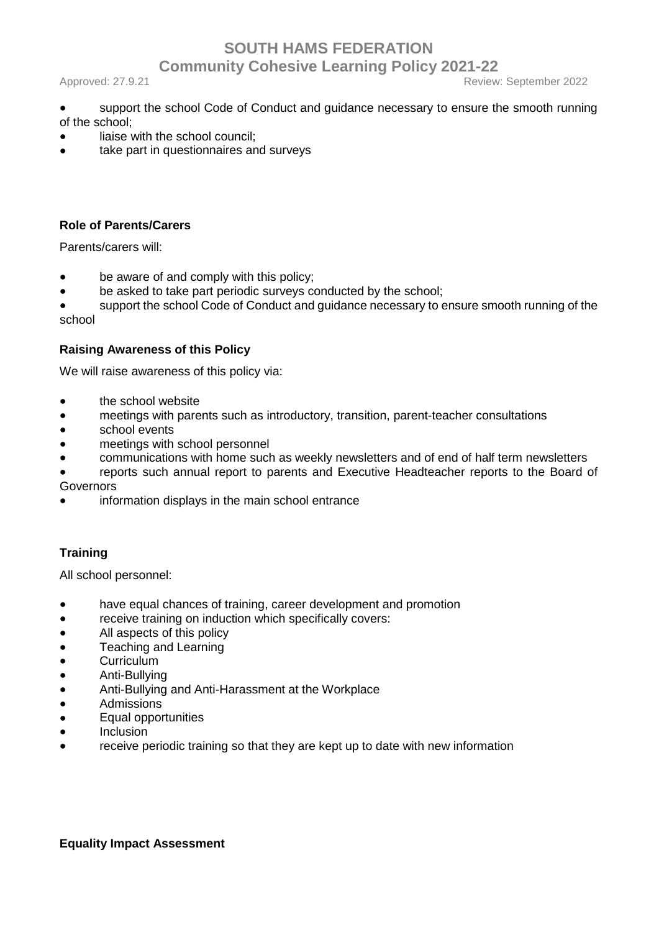Approved: 27.9.21 Review: September 2022

- support the school Code of Conduct and guidance necessary to ensure the smooth running of the school;
- liaise with the school council;
- take part in questionnaires and surveys

### **Role of Parents/Carers**

Parents/carers will:

- be aware of and comply with this policy;
- be asked to take part periodic surveys conducted by the school;

● support the school Code of Conduct and guidance necessary to ensure smooth running of the school

#### **Raising Awareness of this Policy**

We will raise awareness of this policy via:

- the school website
- meetings with parents such as introductory, transition, parent-teacher consultations
- school events
- meetings with school personnel
- communications with home such as weekly newsletters and of end of half term newsletters
- reports such annual report to parents and Executive Headteacher reports to the Board of Governors
- information displays in the main school entrance

## **Training**

All school personnel:

- have equal chances of training, career development and promotion
- receive training on induction which specifically covers:
- All aspects of this policy
- Teaching and Learning
- Curriculum
- Anti-Bullying
- Anti-Bullying and Anti-Harassment at the Workplace
- Admissions
- Equal opportunities
- Inclusion
- receive periodic training so that they are kept up to date with new information